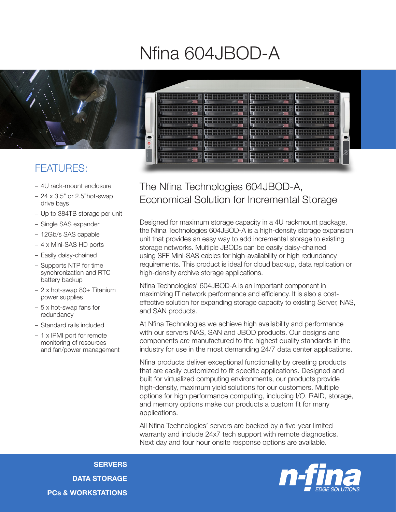## Nfina 604JBOD-A



## FEATURES:

- 4U rack-mount enclosure
- 24 x 3.5" or 2.5"hot-swap drive bays
- Up to 384TB storage per unit
- Single SAS expander
- 12Gb/s SAS capable
- 4 x Mini-SAS HD ports
- Easily daisy-chained
- Supports NTP for time synchronization and RTC battery backup
- 2 x hot-swap 80+ Titanium power supplies
- 5 x hot-swap fans for redundancy
- Standard rails included
- 1 x IPMI port for remote monitoring of resources and fan/power management

## The Nfina Technologies 604JBOD-A, Economical Solution for Incremental Storage

Designed for maximum storage capacity in a 4U rackmount package, the Nfina Technologies 604JBOD-A is a high-density storage expansion unit that provides an easy way to add incremental storage to existing storage networks. Multiple JBODs can be easily daisy-chained using SFF Mini-SAS cables for high-availability or high redundancy requirements. This product is ideal for cloud backup, data replication or high-density archive storage applications.

Nfina Technologies' 604JBOD-A is an important component in maximizing IT network performance and efficiency. It is also a costeffective solution for expanding storage capacity to existing Server, NAS, and SAN products.

At Nfina Technologies we achieve high availability and performance with our servers NAS, SAN and JBOD products. Our designs and components are manufactured to the highest quality standards in the industry for use in the most demanding 24/7 data center applications.

Nfina products deliver exceptional functionality by creating products that are easily customized to fit specific applications. Designed and built for virtualized computing environments, our products provide high-density, maximum yield solutions for our customers. Multiple options for high performance computing, including I/O, RAID, storage, and memory options make our products a custom fit for many applications.

All Nfina Technologies' servers are backed by a five-year limited warranty and include 24x7 tech support with remote diagnostics. Next day and four hour onsite response options are available.

**SERVERS** DATA STORAGE PCs & WORKSTATIONS